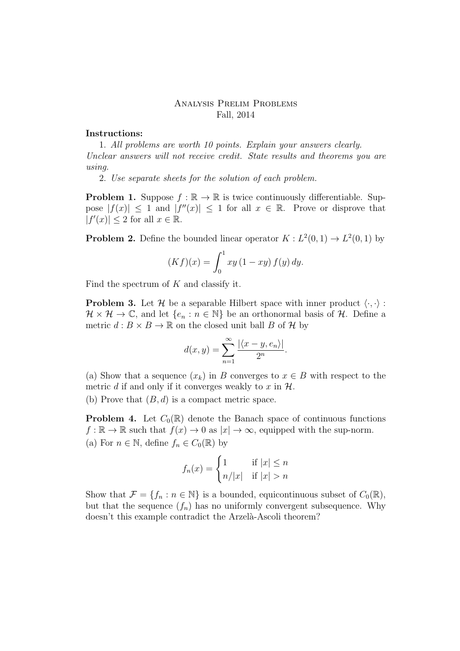## Analysis Prelim Problems Fall, 2014

## Instructions:

1. All problems are worth 10 points. Explain your answers clearly. Unclear answers will not receive credit. State results and theorems you are using.

2. Use separate sheets for the solution of each problem.

**Problem 1.** Suppose  $f : \mathbb{R} \to \mathbb{R}$  is twice continuously differentiable. Suppose  $|f(x)| \leq 1$  and  $|f''(x)| \leq 1$  for all  $x \in \mathbb{R}$ . Prove or disprove that  $|f'(x)| \leq 2$  for all  $x \in \mathbb{R}$ .

**Problem 2.** Define the bounded linear operator  $K : L^2(0,1) \to L^2(0,1)$  by

$$
(Kf)(x) = \int_0^1 xy (1 - xy) f(y) dy.
$$

Find the spectrum of  $K$  and classify it.

**Problem 3.** Let H be a separable Hilbert space with inner product  $\langle \cdot, \cdot \rangle$ :  $\mathcal{H} \times \mathcal{H} \to \mathbb{C}$ , and let  $\{e_n : n \in \mathbb{N}\}\$ be an orthonormal basis of  $\mathcal{H}$ . Define a metric  $d : B \times B \to \mathbb{R}$  on the closed unit ball B of H by

$$
d(x,y) = \sum_{n=1}^{\infty} \frac{|\langle x-y, e_n \rangle|}{2^n}.
$$

(a) Show that a sequence  $(x_k)$  in B converges to  $x \in B$  with respect to the metric d if and only if it converges weakly to x in  $\mathcal{H}$ .

(b) Prove that  $(B, d)$  is a compact metric space.

**Problem 4.** Let  $C_0(\mathbb{R})$  denote the Banach space of continuous functions  $f : \mathbb{R} \to \mathbb{R}$  such that  $f(x) \to 0$  as  $|x| \to \infty$ , equipped with the sup-norm. (a) For  $n \in \mathbb{N}$ , define  $f_n \in C_0(\mathbb{R})$  by

$$
f_n(x) = \begin{cases} 1 & \text{if } |x| \le n \\ n/|x| & \text{if } |x| > n \end{cases}
$$

Show that  $\mathcal{F} = \{f_n : n \in \mathbb{N}\}\$ is a bounded, equicontinuous subset of  $C_0(\mathbb{R})$ , but that the sequence  $(f_n)$  has no uniformly convergent subsequence. Why doesn't this example contradict the Arzelà-Ascoli theorem?